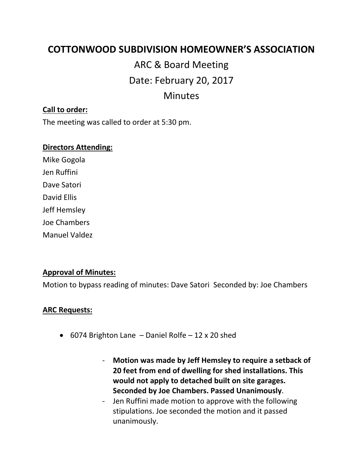# **COTTONWOOD SUBDIVISION HOMEOWNER'S ASSOCIATION**

# ARC & Board Meeting Date: February 20, 2017 Minutes

#### **Call to order:**

The meeting was called to order at 5:30 pm.

#### **Directors Attending:**

Mike Gogola Jen Ruffini Dave Satori David Ellis Jeff Hemsley Joe Chambers Manuel Valdez

#### **Approval of Minutes:**

Motion to bypass reading of minutes: Dave Satori Seconded by: Joe Chambers

#### **ARC Requests:**

- 6074 Brighton Lane Daniel Rolfe 12 x 20 shed
	- **Motion was made by Jeff Hemsley to require a setback of 20 feet from end of dwelling for shed installations. This would not apply to detached built on site garages. Seconded by Joe Chambers. Passed Unanimously**.
	- Jen Ruffini made motion to approve with the following stipulations. Joe seconded the motion and it passed unanimously.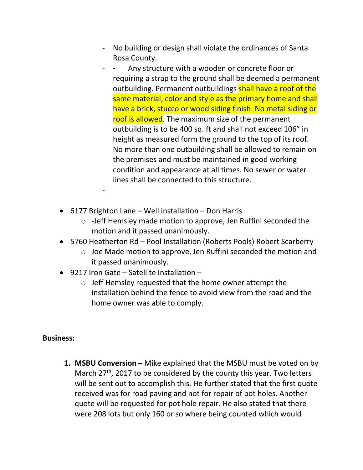- No building or design shall violate the ordinances of Santa Rosa County.
- Any structure with a wooden or concrete floor or requiring a strap to the ground shall be deemed a permanent outbuilding. Permanent outbuildings shall have a roof of the same material, color and style as the primary home and shall have a brick, stucco or wood siding finish. No metal siding or roof is allowed. The maximum size of the permanent outbuilding is to be 400 sq. ft and shall not exceed 106" in height as measured form the ground to the top of its roof. No more than one outbuilding shall be allowed to remain on the premises and must be maintained in good working condition and appearance at all times. No sewer or water lines shall be connected to this structure.
- 6177 Brighton Lane Well installation Don Harris
	- o -Jeff Hemsley made motion to approve, Jen Ruffini seconded the motion and it passed unanimously.
- 5760 Heatherton Rd Pool Installation (Roberts Pools) Robert Scarberry
	- o Joe Made motion to approve, Jen Ruffini seconded the motion and it passed unanimously.
- 9217 Iron Gate Satellite Installation –

-

o Jeff Hemsley requested that the home owner attempt the installation behind the fence to avoid view from the road and the home owner was able to comply.

## **Business:**

**1. MSBU Conversion –** Mike explained that the MSBU must be voted on by March  $27<sup>th</sup>$ , 2017 to be considered by the county this year. Two letters will be sent out to accomplish this. He further stated that the first quote received was for road paving and not for repair of pot holes. Another quote will be requested for pot hole repair. He also stated that there were 208 lots but only 160 or so where being counted which would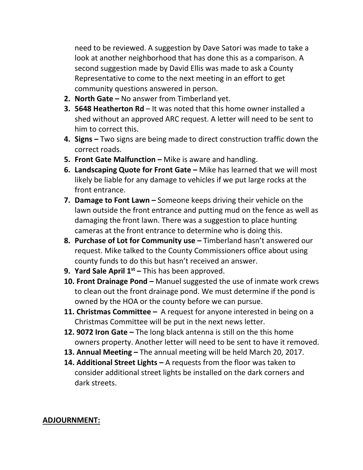need to be reviewed. A suggestion by Dave Satori was made to take a look at another neighborhood that has done this as a comparison. A second suggestion made by David Ellis was made to ask a County Representative to come to the next meeting in an effort to get community questions answered in person.

- **2. North Gate –** No answer from Timberland yet.
- **3. 5648 Heatherton Rd** It was noted that this home owner installed a shed without an approved ARC request. A letter will need to be sent to him to correct this.
- **4. Signs –** Two signs are being made to direct construction traffic down the correct roads.
- **5. Front Gate Malfunction –** Mike is aware and handling.
- **6. Landscaping Quote for Front Gate –** Mike has learned that we will most likely be liable for any damage to vehicles if we put large rocks at the front entrance.
- **7. Damage to Font Lawn –** Someone keeps driving their vehicle on the lawn outside the front entrance and putting mud on the fence as well as damaging the front lawn. There was a suggestion to place hunting cameras at the front entrance to determine who is doing this.
- **8. Purchase of Lot for Community use –** Timberland hasn't answered our request. Mike talked to the County Commissioners office about using county funds to do this but hasn't received an answer.
- **9. Yard Sale April 1st –** This has been approved.
- **10. Front Drainage Pond –** Manuel suggested the use of inmate work crews to clean out the front drainage pond. We must determine if the pond is owned by the HOA or the county before we can pursue.
- **11. Christmas Committee –** A request for anyone interested in being on a Christmas Committee will be put in the next news letter.
- **12. 9072 Iron Gate –** The long black antenna is still on the this home owners property. Another letter will need to be sent to have it removed.
- **13. Annual Meeting –** The annual meeting will be held March 20, 2017.
- **14. Additional Street Lights –** A requests from the floor was taken to consider additional street lights be installed on the dark corners and dark streets.

## **ADJOURNMENT:**